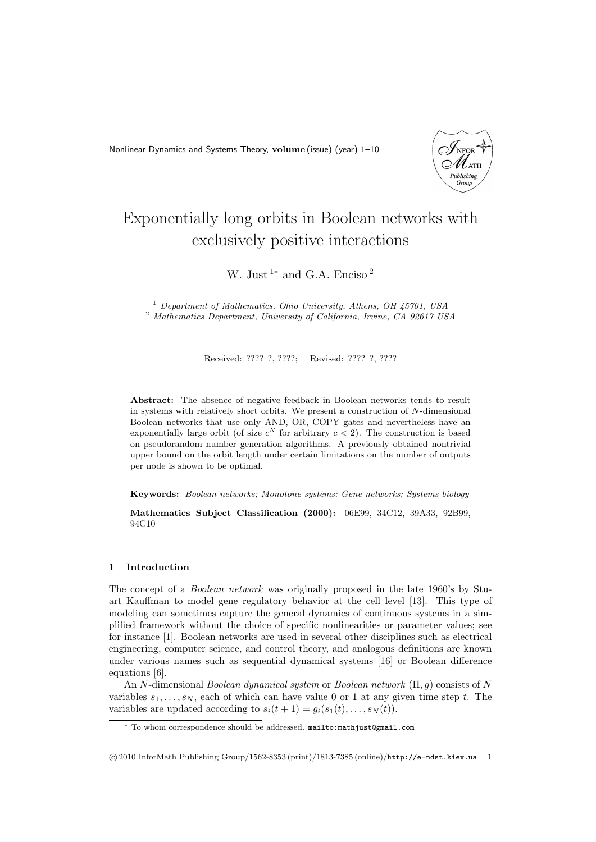Nonlinear Dynamics and Systems Theory, **volume** (issue) (year) 1–10



# Exponentially long orbits in Boolean networks with exclusively positive interactions

W. Just <sup>1</sup>*<sup>∗</sup>* and G.A. Enciso <sup>2</sup>

<sup>1</sup> *Department of Mathematics, Ohio University, Athens, OH 45701, USA* <sup>2</sup> *Mathematics Department, University of California, Irvine, CA 92617 USA*

Received: ???? ?, ????; Revised: ???? ?, ????

**Abstract:** The absence of negative feedback in Boolean networks tends to result in systems with relatively short orbits. We present a construction of *N*-dimensional Boolean networks that use only AND, OR, COPY gates and nevertheless have an exponentially large orbit (of size  $c^N$  for arbitrary  $c < 2$ ). The construction is based on pseudorandom number generation algorithms. A previously obtained nontrivial upper bound on the orbit length under certain limitations on the number of outputs per node is shown to be optimal.

**Keywords:** *Boolean networks; Monotone systems; Gene networks; Systems biology*

**Mathematics Subject Classification (2000):** 06E99, 34C12, 39A33, 92B99, 94C10

# **1 Introduction**

The concept of a *Boolean network* was originally proposed in the late 1960's by Stuart Kauffman to model gene regulatory behavior at the cell level [13]. This type of modeling can sometimes capture the general dynamics of continuous systems in a simplified framework without the choice of specific nonlinearities or parameter values; see for instance [1]. Boolean networks are used in several other disciplines such as electrical engineering, computer science, and control theory, and analogous definitions are known under various names such as sequential dynamical systems [16] or Boolean difference equations [6].

An *N*-dimensional *Boolean dynamical system* or *Boolean network* (Π*, g*) consists of *N* variables  $s_1, \ldots, s_N$ , each of which can have value 0 or 1 at any given time step *t*. The variables are updated according to  $s_i(t + 1) = g_i(s_1(t), \ldots, s_N(t))$ .

*<sup>∗</sup>* To whom correspondence should be addressed. mailto:mathjust@gmail.com

*<sup>⃝</sup>*c 2010 InforMath Publishing Group/1562-8353 (print)/1813-7385 (online)/http://e-ndst.kiev.ua 1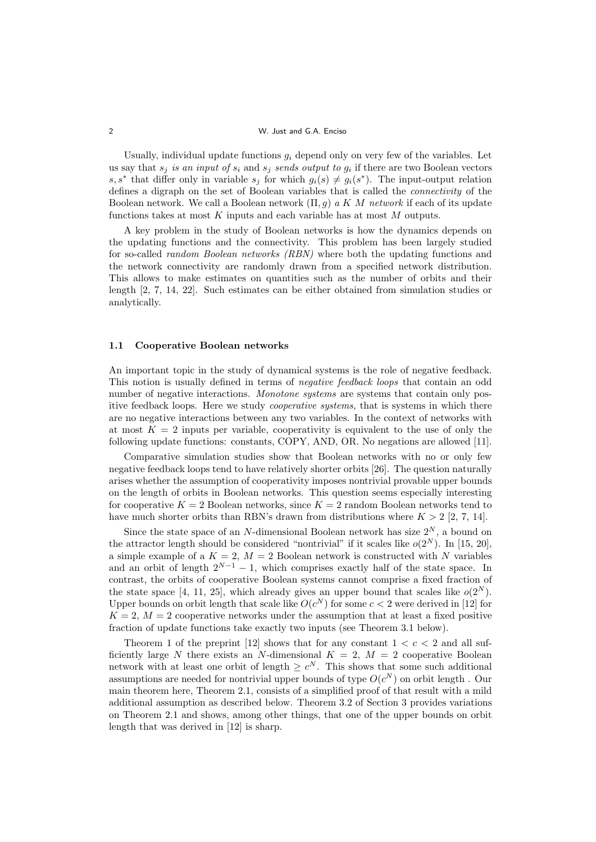## 2 W. Just and G.A. Enciso

Usually, individual update functions  $g_i$  depend only on very few of the variables. Let us say that  $s_j$  *is an input of*  $s_i$  and  $s_j$  *sends output to*  $g_i$  if there are two Boolean vectors *s*, *s*<sup>\*</sup> that differ only in variable  $s_j$  for which  $g_i(s) \neq g_i(s^*)$ . The input-output relation defines a digraph on the set of Boolean variables that is called the *connectivity* of the Boolean network. We call a Boolean network (Π*, g*) *a K M network* if each of its update functions takes at most *K* inputs and each variable has at most *M* outputs.

A key problem in the study of Boolean networks is how the dynamics depends on the updating functions and the connectivity. This problem has been largely studied for so-called *random Boolean networks (RBN)* where both the updating functions and the network connectivity are randomly drawn from a specified network distribution. This allows to make estimates on quantities such as the number of orbits and their length [2, 7, 14, 22]. Such estimates can be either obtained from simulation studies or analytically.

# **1.1 Cooperative Boolean networks**

An important topic in the study of dynamical systems is the role of negative feedback. This notion is usually defined in terms of *negative feedback loops* that contain an odd number of negative interactions. *Monotone systems* are systems that contain only positive feedback loops. Here we study *cooperative systems,* that is systems in which there are no negative interactions between any two variables. In the context of networks with at most  $K = 2$  inputs per variable, cooperativity is equivalent to the use of only the following update functions: constants, COPY, AND, OR. No negations are allowed [11].

Comparative simulation studies show that Boolean networks with no or only few negative feedback loops tend to have relatively shorter orbits [26]. The question naturally arises whether the assumption of cooperativity imposes nontrivial provable upper bounds on the length of orbits in Boolean networks. This question seems especially interesting for cooperative  $K = 2$  Boolean networks, since  $K = 2$  random Boolean networks tend to have much shorter orbits than RBN's drawn from distributions where  $K > 2$  [2, 7, 14].

Since the state space of an *N*-dimensional Boolean network has size  $2^N$ , a bound on the attractor length should be considered "nontrivial" if it scales like  $o(2^N)$ . In [15, 20], a simple example of a  $K = 2$ ,  $M = 2$  Boolean network is constructed with *N* variables and an orbit of length  $2^{N-1} - 1$ , which comprises exactly half of the state space. In contrast, the orbits of cooperative Boolean systems cannot comprise a fixed fraction of the state space [4, 11, 25], which already gives an upper bound that scales like  $o(2^N)$ . Upper bounds on orbit length that scale like  $O(c^N)$  for some  $c < 2$  were derived in [12] for  $K = 2$ ,  $M = 2$  cooperative networks under the assumption that at least a fixed positive fraction of update functions take exactly two inputs (see Theorem 3.1 below).

Theorem 1 of the preprint  $[12]$  shows that for any constant  $1 < c < 2$  and all sufficiently large *N* there exists an *N*-dimensional  $K = 2$ ,  $M = 2$  cooperative Boolean network with at least one orbit of length  $\geq c^N$ . This shows that some such additional assumptions are needed for nontrivial upper bounds of type  $O(c^N)$  on orbit length. Our main theorem here, Theorem 2.1, consists of a simplified proof of that result with a mild additional assumption as described below. Theorem 3.2 of Section 3 provides variations on Theorem 2.1 and shows, among other things, that one of the upper bounds on orbit length that was derived in [12] is sharp.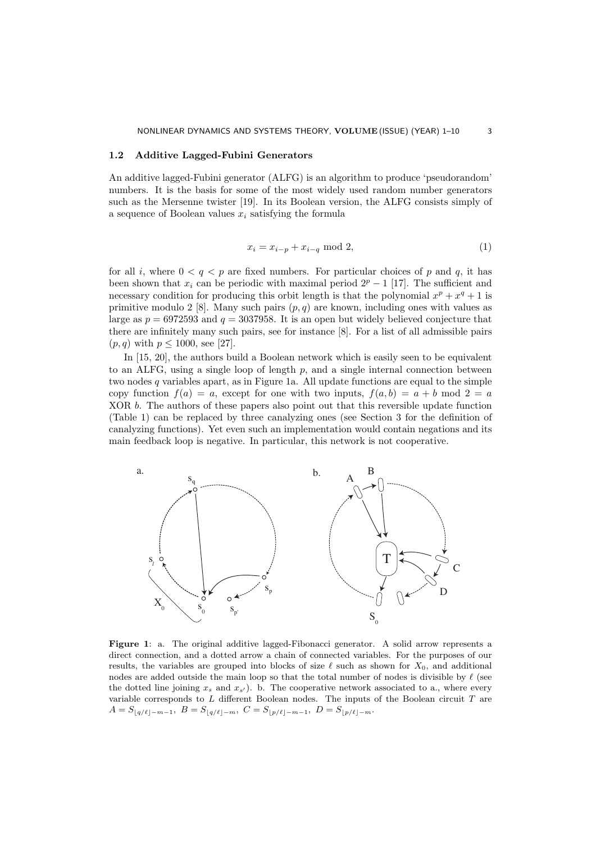## **1.2 Additive Lagged-Fubini Generators**

An additive lagged-Fubini generator (ALFG) is an algorithm to produce 'pseudorandom' numbers. It is the basis for some of the most widely used random number generators such as the Mersenne twister [19]. In its Boolean version, the ALFG consists simply of a sequence of Boolean values *x<sup>i</sup>* satisfying the formula

$$
x_i = x_{i-p} + x_{i-q} \mod 2,\tag{1}
$$

for all *i*, where  $0 < q < p$  are fixed numbers. For particular choices of *p* and *q*, it has been shown that  $x_i$  can be periodic with maximal period  $2^p - 1$  [17]. The sufficient and necessary condition for producing this orbit length is that the polynomial  $x^p + x^q + 1$  is primitive modulo 2 [8]. Many such pairs  $(p, q)$  are known, including ones with values as large as  $p = 6972593$  and  $q = 3037958$ . It is an open but widely believed conjecture that there are infinitely many such pairs, see for instance [8]. For a list of all admissible pairs  $(p, q)$  with  $p \le 1000$ , see [27].

In [15, 20], the authors build a Boolean network which is easily seen to be equivalent to an ALFG, using a single loop of length  $p$ , and a single internal connection between two nodes *q* variables apart, as in Figure 1a. All update functions are equal to the simple copy function  $f(a) = a$ , except for one with two inputs,  $f(a, b) = a + b \mod 2 = a$ XOR *b*. The authors of these papers also point out that this reversible update function (Table 1) can be replaced by three canalyzing ones (see Section 3 for the definition of canalyzing functions). Yet even such an implementation would contain negations and its main feedback loop is negative. In particular, this network is not cooperative.



**Figure 1**: a. The original additive lagged-Fibonacci generator. A solid arrow represents a direct connection, and a dotted arrow a chain of connected variables. For the purposes of our results, the variables are grouped into blocks of size  $\ell$  such as shown for  $X_0$ , and additional nodes are added outside the main loop so that the total number of nodes is divisible by *ℓ* (see the dotted line joining  $x_s$  and  $x_{s'}$ ). b. The cooperative network associated to a., where every variable corresponds to *L* different Boolean nodes. The inputs of the Boolean circuit *T* are  $A = S_{\lfloor q/\ell \rfloor - m - 1}, B = S_{\lfloor q/\ell \rfloor - m}, C = S_{\lfloor p/\ell \rfloor - m - 1}, D = S_{\lfloor p/\ell \rfloor - m}.$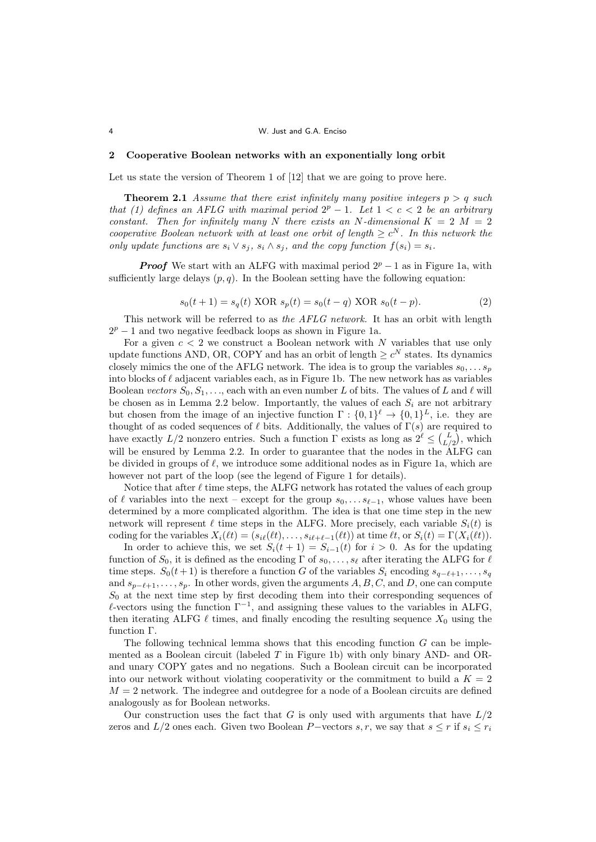### 4 W. Just and G.A. Enciso

## **2 Cooperative Boolean networks with an exponentially long orbit**

Let us state the version of Theorem 1 of [12] that we are going to prove here.

**Theorem 2.1** *Assume that there exist infinitely many positive integers*  $p > q$  *such that (1) defines an AFLG with maximal period*  $2^p - 1$ . Let  $1 < c < 2$  be an arbitrary *constant.* Then for infinitely many N there exists an N-dimensional  $K = 2$   $M = 2$ *cooperative Boolean network with at least one orbit of length*  $\geq c^N$ . In this network the *only update functions are*  $s_i \vee s_j$ ,  $s_i \wedge s_j$ , and the copy function  $f(s_i) = s_i$ .

*Proof* We start with an ALFG with maximal period  $2^p - 1$  as in Figure 1a, with sufficiently large delays  $(p, q)$ . In the Boolean setting have the following equation:

$$
s_0(t+1) = s_q(t) \text{ XOR } s_p(t) = s_0(t-q) \text{ XOR } s_0(t-p).
$$
 (2)

This network will be referred to as *the AFLG network.* It has an orbit with length 2<sup>*p*</sup> − 1 and two negative feedback loops as shown in Figure 1a.

For a given  $c < 2$  we construct a Boolean network with  $N$  variables that use only update functions AND, OR, COPY and has an orbit of length  $\geq c^N$  states. Its dynamics closely mimics the one of the AFLG network. The idea is to group the variables  $s_0, \ldots, s_p$ into blocks of *ℓ* adjacent variables each, as in Figure 1b. The new network has as variables Boolean *vectors*  $S_0, S_1, \ldots$ , each with an even number *L* of bits. The values of *L* and  $\ell$  will be chosen as in Lemma 2.2 below. Importantly, the values of each  $S_i$  are not arbitrary but chosen from the image of an injective function  $\Gamma : \{0,1\}^{\ell} \to \{0,1\}^{\ell}$ , i.e. they are thought of as coded sequences of  $\ell$  bits. Additionally, the values of  $\Gamma(s)$  are required to have exactly  $L/2$  nonzero entries. Such a function  $\Gamma$  exists as long as  $2^{\ell} \leq {L \choose L/2}$ , which will be ensured by Lemma 2.2. In order to guarantee that the nodes in the ALFG can be divided in groups of *ℓ*, we introduce some additional nodes as in Figure 1a, which are however not part of the loop (see the legend of Figure 1 for details).

Notice that after  $\ell$  time steps, the ALFG network has rotated the values of each group of  $\ell$  variables into the next – except for the group  $s_0, \ldots s_{\ell-1}$ , whose values have been determined by a more complicated algorithm. The idea is that one time step in the new network will represent  $\ell$  time steps in the ALFG. More precisely, each variable  $S_i(t)$  is coding for the variables  $X_i(\ell t) = (s_{i\ell}(\ell t), \ldots, s_{i\ell+\ell-1}(\ell t))$  at time  $\ell t$ , or  $S_i(t) = \Gamma(X_i(\ell t))$ .

In order to achieve this, we set  $S_i(t + 1) = S_{i-1}(t)$  for  $i > 0$ . As for the updating function of  $S_0$ , it is defined as the encoding  $\Gamma$  of  $s_0, \ldots, s_\ell$  after iterating the ALFG for  $\ell$ time steps.  $S_0(t+1)$  is therefore a function *G* of the variables  $S_i$  encoding  $s_{q-\ell+1}, \ldots, s_q$ and *s<sup>p</sup>−ℓ*+1*, . . . , sp*. In other words, given the arguments *A, B, C,* and *D*, one can compute *S*<sup>0</sup> at the next time step by first decoding them into their corresponding sequences of *ℓ*-vectors using the function Γ*−*<sup>1</sup> , and assigning these values to the variables in ALFG, then iterating ALFG  $\ell$  times, and finally encoding the resulting sequence  $X_0$  using the function Γ.

The following technical lemma shows that this encoding function *G* can be implemented as a Boolean circuit (labeled *T* in Figure 1b) with only binary AND- and ORand unary COPY gates and no negations. Such a Boolean circuit can be incorporated into our network without violating cooperativity or the commitment to build a  $K = 2$  $M = 2$  network. The indegree and outdegree for a node of a Boolean circuits are defined analogously as for Boolean networks.

Our construction uses the fact that  $G$  is only used with arguments that have  $L/2$ zeros and  $L/2$  ones each. Given two Boolean *P*−vectors *s, r,* we say that  $s \leq r$  if  $s_i \leq r_i$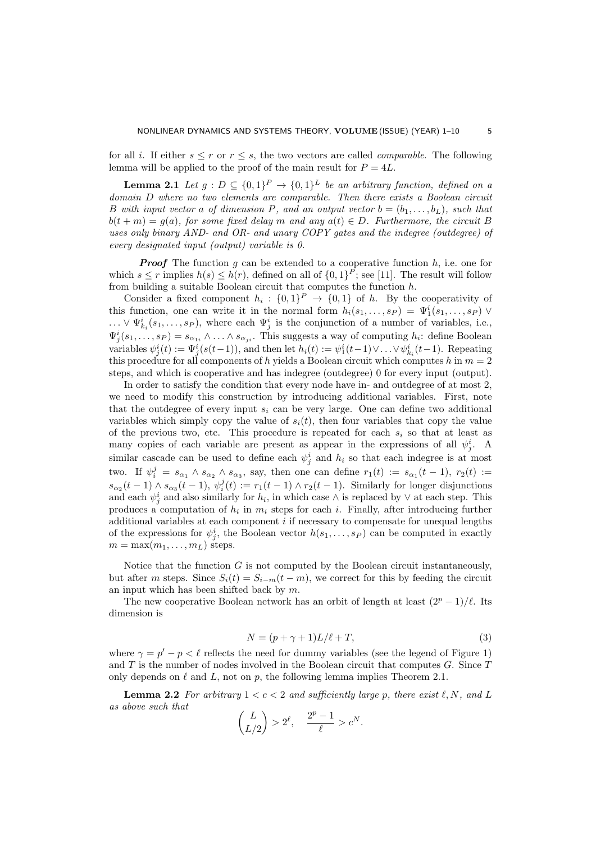for all *i*. If either  $s \leq r$  or  $r \leq s$ , the two vectors are called *comparable*. The following lemma will be applied to the proof of the main result for  $P = 4L$ .

**Lemma 2.1** *Let*  $g: D \subseteq \{0,1\}^P \rightarrow \{0,1\}^L$  *be an arbitrary function, defined on a domain D where no two elements are comparable. Then there exists a Boolean circuit B* with input vector a of dimension P, and an output vector  $b = (b_1, \ldots, b_L)$ , such that  $b(t + m) = g(a)$ , for some fixed delay *m* and any  $a(t) \in D$ . Furthermore, the circuit *B uses only binary AND- and OR- and unary COPY gates and the indegree (outdegree) of every designated input (output) variable is 0.*

*Proof* The function *g* can be extended to a cooperative function *h*, i.e. one for which  $s \leq r$  implies  $h(s) \leq h(r)$ , defined on all of  $\{0,1\}^P$ ; see [11]. The result will follow from building a suitable Boolean circuit that computes the function *h*.

Consider a fixed component  $h_i: \{0,1\}^P \rightarrow \{0,1\}$  of *h*. By the cooperativity of this function, one can write it in the normal form  $h_i(s_1, \ldots, s_P) = \Psi_1^i(s_1, \ldots, s_P)$   $\vee$  $\dots \vee \Psi_{k_i}^i(s_1,\dots,s_P)$ , where each  $\Psi_j^i$  is the conjunction of a number of variables, i.e.,  $\Psi_j^i(s_1,\ldots,s_P) = s_{\alpha_{1i}} \wedge \ldots \wedge s_{\alpha_{ji}}$ . This suggests a way of computing  $h_i$ : define Boolean variables  $\psi_j^i(t) := \Psi_j^i(s(t-1))$ , and then let  $h_i(t) := \psi_1^i(t-1) \vee \dots \vee \psi_{k_i}^i(t-1)$ . Repeating this procedure for all components of *h* yields a Boolean circuit which computes *h* in *m* = 2 steps, and which is cooperative and has indegree (outdegree) 0 for every input (output).

In order to satisfy the condition that every node have in- and outdegree of at most 2, we need to modify this construction by introducing additional variables. First, note that the outdegree of every input  $s_i$  can be very large. One can define two additional variables which simply copy the value of  $s_i(t)$ , then four variables that copy the value of the previous two, etc. This procedure is repeated for each  $s_i$  so that at least as many copies of each variable are present as appear in the expressions of all  $\psi_j^i$ . A similar cascade can be used to define each  $\psi_j^i$  and  $h_i$  so that each indegree is at most two. If  $\psi_i^j = s_{\alpha_1} \wedge s_{\alpha_2} \wedge s_{\alpha_3}$ , say, then one can define  $r_1(t) := s_{\alpha_1}(t-1)$ ,  $r_2(t) :=$  $s_{\alpha_2}(t-1) \wedge s_{\alpha_3}(t-1), \psi_i^j(t) := r_1(t-1) \wedge r_2(t-1).$  Similarly for longer disjunctions and each  $\psi_j^i$  and also similarly for  $h_i$ , in which case  $\wedge$  is replaced by  $\vee$  at each step. This produces a computation of  $h_i$  in  $m_i$  steps for each *i*. Finally, after introducing further additional variables at each component *i* if necessary to compensate for unequal lengths of the expressions for  $\psi^i_j$ , the Boolean vector  $h(s_1, \ldots, s_P)$  can be computed in exactly  $m = \max(m_1, \ldots, m_L)$  steps.

Notice that the function *G* is not computed by the Boolean circuit instantaneously, but after *m* steps. Since  $S_i(t) = S_{i-m}(t-m)$ , we correct for this by feeding the circuit an input which has been shifted back by *m*.

The new cooperative Boolean network has an orbit of length at least  $(2^p - 1)/\ell$ . Its dimension is

$$
N = (p + \gamma + 1)L/\ell + T,\tag{3}
$$

where  $\gamma = p' - p < \ell$  reflects the need for dummy variables (see the legend of Figure 1) and *T* is the number of nodes involved in the Boolean circuit that computes *G*. Since *T* only depends on  $\ell$  and  $L$ , not on  $p$ , the following lemma implies Theorem 2.1.

**Lemma 2.2** *For arbitrary*  $1 < c < 2$  *and sufficiently large p, there exist*  $\ell, N$ *, and L as above such that*

$$
\binom{L}{L/2} > 2^{\ell}, \quad \frac{2^p - 1}{\ell} > c^N.
$$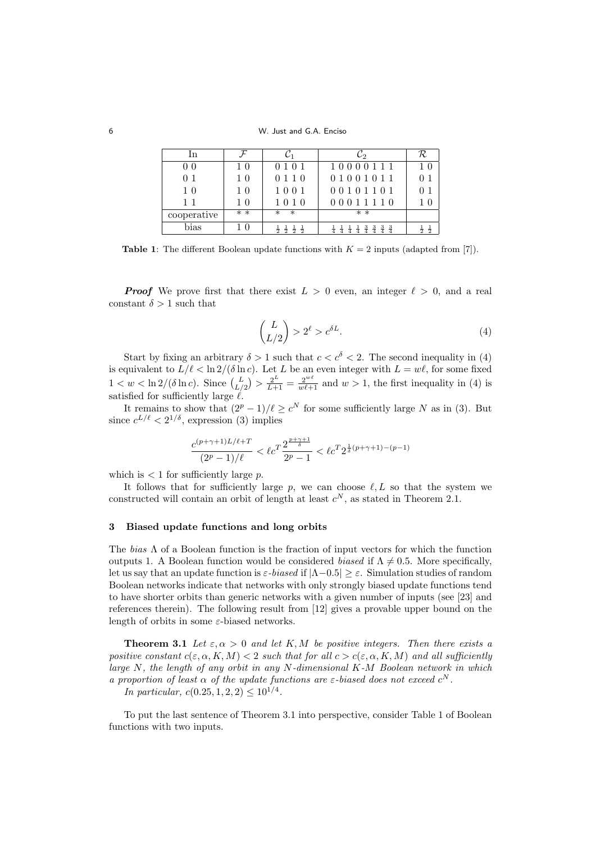6 W. Just and G.A. Enciso

| In             |                |                  | C2                                                 | R                  |
|----------------|----------------|------------------|----------------------------------------------------|--------------------|
| 0 <sub>0</sub> | 1 <sub>0</sub> | 0 1 0 1          | 10000111                                           | 10                 |
| 0 <sub>1</sub> | 1 <sub>0</sub> | 0 1 1 0          | 01001011                                           |                    |
| 1 <sub>0</sub> | 1 <sub>0</sub> | 1001             | 00101101                                           |                    |
| $1\;1$         | 1 <sub>0</sub> | 1010             | 00011110                                           |                    |
| cooperative    | $* *$          | $^\ast$          | $* *$                                              |                    |
| bias           | - 0            | ㅎ<br>寺<br>寺<br>靑 | $\frac{3}{4}$<br>$\frac{3}{4}$<br>$rac{3}{4}$<br>Ŧ | $\frac{1}{2}$<br>寺 |

**Table 1**: The different Boolean update functions with  $K = 2$  inputs (adapted from [7]).

*Proof* We prove first that there exist  $L > 0$  even, an integer  $\ell > 0$ , and a real constant  $\delta > 1$  such that

$$
\binom{L}{L/2} > 2^{\ell} > c^{\delta L}.\tag{4}
$$

Start by fixing an arbitrary  $\delta > 1$  such that  $c < c^{\delta} < 2$ . The second inequality in (4) is equivalent to  $L/\ell < \ln 2/(\delta \ln c)$ . Let *L* be an even integer with  $L = w\ell$ , for some fixed  $1 < w < \ln 2/(\delta \ln c)$ . Since  $\binom{L}{L/2} > \frac{2^L}{L+1} = \frac{2^{w\ell}}{w\ell+1}$  and  $w > 1$ , the first inequality in (4) is satisfied for sufficiently large *ℓ*.

It remains to show that  $(2^p - 1)/\ell \ge c^N$  for some sufficiently large *N* as in (3). But since  $c^{L/\ell}$  <  $2^{1/\delta}$ , expression (3) implies

$$
\frac{c^{(p+\gamma+1)L/\ell+T}}{(2^p-1)/\ell} < \ell c^T \frac{2^{\frac{p+\gamma+1}{\delta}}}{2^p-1} < \ell c^T 2^{\frac{1}{\delta}(p+\gamma+1)-(p-1)}
$$

which is  $\lt 1$  for sufficiently large  $p$ .

It follows that for sufficiently large  $p$ , we can choose  $\ell, L$  so that the system we constructed will contain an orbit of length at least  $c^N$ , as stated in Theorem 2.1.

#### **3 Biased update functions and long orbits**

The *bias* Λ of a Boolean function is the fraction of input vectors for which the function outputs 1. A Boolean function would be considered *biased* if  $\Lambda \neq 0.5$ . More specifically, let us say that an update function is *ε-biased* if *|*Λ*−*0*.*5*| ≥ ε*. Simulation studies of random Boolean networks indicate that networks with only strongly biased update functions tend to have shorter orbits than generic networks with a given number of inputs (see [23] and references therein). The following result from [12] gives a provable upper bound on the length of orbits in some *ε*-biased networks.

**Theorem 3.1** Let  $\varepsilon, \alpha > 0$  and let K, M be positive integers. Then there exists a *positive constant*  $c(\varepsilon, \alpha, K, M) < 2$  *such that for all*  $c > c(\varepsilon, \alpha, K, M)$  *and all sufficiently large N, the length of any orbit in any N-dimensional K-M Boolean network in which a proportion of least*  $\alpha$  *of the update functions are*  $\varepsilon$ -biased does not exceed  $c^N$ .

*In particular,*  $c(0.25, 1, 2, 2) \leq 10^{1/4}$ .

To put the last sentence of Theorem 3.1 into perspective, consider Table 1 of Boolean functions with two inputs.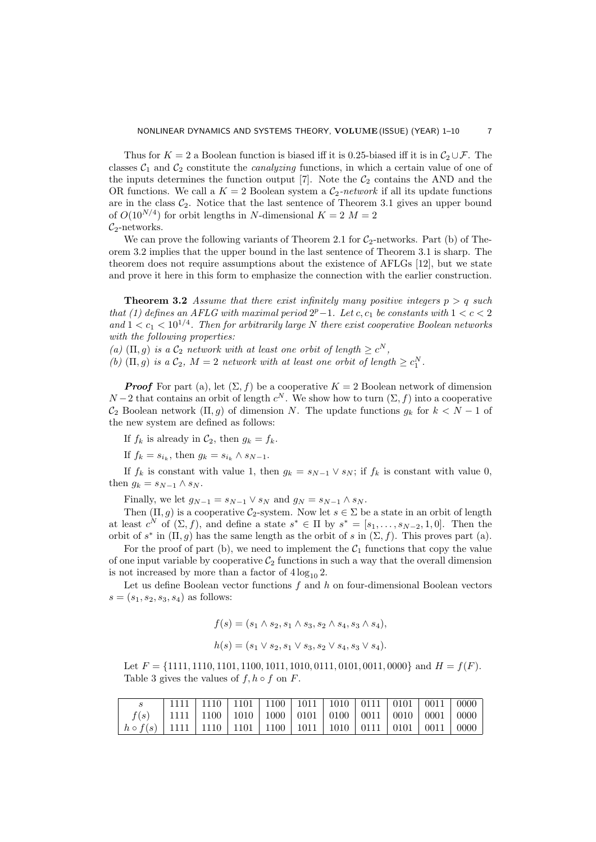Thus for  $K = 2$  a Boolean function is biased iff it is 0.25-biased iff it is in  $C_2 \cup \mathcal{F}$ . The classes  $C_1$  and  $C_2$  constitute the *canalyzing* functions, in which a certain value of one of the inputs determines the function output  $[7]$ . Note the  $C_2$  contains the AND and the OR functions. We call a  $K = 2$  Boolean system a  $C_2$ -network if all its update functions are in the class  $C_2$ . Notice that the last sentence of Theorem 3.1 gives an upper bound of  $O(10^{N/4})$  for orbit lengths in *N*-dimensional  $K = 2$   $M = 2$  $\mathcal{C}_2$ -networks.

We can prove the following variants of Theorem 2.1 for  $C_2$ -networks. Part (b) of Theorem 3.2 implies that the upper bound in the last sentence of Theorem 3.1 is sharp. The theorem does not require assumptions about the existence of AFLGs [12], but we state and prove it here in this form to emphasize the connection with the earlier construction.

**Theorem 3.2** *Assume that there exist infinitely many positive integers*  $p > q$  *such that* (1) defines an AFLG with maximal period  $2^p-1$ . Let  $c, c_1$  be constants with  $1 < c < 2$ and  $1 < c_1 < 10^{1/4}$ . Then for arbitrarily large N there exist cooperative Boolean networks *with the following properties:*

*(a)*  $(\Pi, g)$  *is a*  $C_2$  *network with at least one orbit of length*  $\geq c^N$ ,

*(b)*  $(\Pi, g)$  *is a*  $C_2$ *,*  $M = 2$  *network with at least one orbit of length*  $\geq c_1^N$ *.* 

*Proof* For part (a), let  $(\Sigma, f)$  be a cooperative  $K = 2$  Boolean network of dimension *N* − 2 that contains an orbit of length  $c^N$ . We show how to turn  $(\Sigma, f)$  into a cooperative  $C_2$  Boolean network  $(\Pi, g)$  of dimension *N*. The update functions  $g_k$  for  $k < N - 1$  of the new system are defined as follows:

If  $f_k$  is already in  $C_2$ , then  $g_k = f_k$ .

If  $f_k = s_{i_k}$ , then  $g_k = s_{i_k} \wedge s_{N-1}$ .

If  $f_k$  is constant with value 1, then  $g_k = s_{N-1} \vee s_N$ ; if  $f_k$  is constant with value 0, then  $g_k = s_{N-1} \wedge s_N$ .

Finally, we let  $g_{N-1} = s_{N-1} \vee s_N$  and  $g_N = s_{N-1} \wedge s_N$ .

Then  $(\Pi, q)$  is a cooperative  $C_2$ -system. Now let  $s \in \Sigma$  be a state in an orbit of length at least  $c^N$  of  $(\Sigma, f)$ , and define a state  $s^* \in \Pi$  by  $s^* = [s_1, \ldots, s_{N-2}, 1, 0]$ . Then the orbit of  $s^*$  in  $(\Pi, g)$  has the same length as the orbit of  $s$  in  $(\Sigma, f)$ . This proves part (a).

For the proof of part (b), we need to implement the  $C_1$  functions that copy the value of one input variable by cooperative  $\mathcal{C}_2$  functions in such a way that the overall dimension is not increased by more than a factor of  $4 \log_{10} 2$ .

Let us define Boolean vector functions *f* and *h* on four-dimensional Boolean vectors  $s = (s_1, s_2, s_3, s_4)$  as follows:

$$
f(s) = (s_1 \land s_2, s_1 \land s_3, s_2 \land s_4, s_3 \land s_4),
$$
  

$$
h(s) = (s_1 \lor s_2, s_1 \lor s_3, s_2 \lor s_4, s_3 \lor s_4).
$$

Let *F* = *{*1111*,* 1110*,* 1101*,* 1100*,* 1011*,* 1010*,* 0111*,* 0101*,* 0011*,* 0000*}* and *H* = *f*(*F*). Table 3 gives the values of  $f, h \circ f$  on  $F$ .

|                                                                                                                         | 1111   1110   1101   1100   1011   1010   0111   0101   0011   0000          |  |  |  |  |  |
|-------------------------------------------------------------------------------------------------------------------------|------------------------------------------------------------------------------|--|--|--|--|--|
|                                                                                                                         | $f(s)$   1111   1100   1010   1000   0101   0100   0011   0010   0001   0000 |  |  |  |  |  |
| $\mid h \circ f(s) \mid 1111 \mid 1110 \mid 1101 \mid 1100 \mid 1011 \mid 1010 \mid 0111 \mid 0101 \mid 0011 \mid 0000$ |                                                                              |  |  |  |  |  |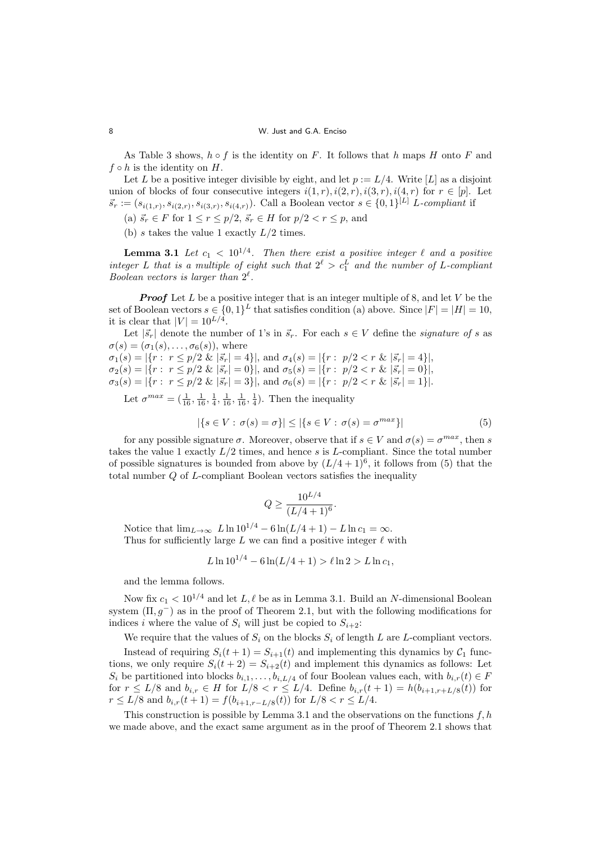## 8 W. Just and G.A. Enciso

As Table 3 shows, *h ◦ f* is the identity on *F*. It follows that *h* maps *H* onto *F* and  $f \circ h$  is the identity on  $H$ .

Let *L* be a positive integer divisible by eight, and let  $p := L/4$ . Write [*L*] as a disjoint union of blocks of four consecutive integers  $i(1,r)$ ,  $i(2,r)$ ,  $i(3,r)$ ,  $i(4,r)$  for  $r \in [p]$ . Let  $\vec{s}_r := (s_{i(1,r)}, s_{i(2,r)}, s_{i(3,r)}, s_{i(4,r)})$ . Call a Boolean vector  $s \in \{0,1\}^{[L]}$  L-compliant if

- (a)  $\vec{s_r} \in F$  for  $1 \le r \le p/2$ ,  $\vec{s_r} \in H$  for  $p/2 < r \le p$ , and
- (b) *s* takes the value 1 exactly *L/*2 times.

**Lemma 3.1** *Let*  $c_1 < 10^{1/4}$ . Then there exist a positive integer  $\ell$  and a positive *integer L that is a multiple of eight such that*  $2^{\ell} > c_1^L$  *and the number of L-compliant Boolean vectors is larger than*  $2^{\ell}$ *.* 

*Proof* Let *L* be a positive integer that is an integer multiple of 8, and let *V* be the set of Boolean vectors  $s \in \{0,1\}^L$  that satisfies condition (a) above. Since  $|F| = |H| = 10$ , it is clear that  $|V| = 10^{L/4}$ .

Let  $|\vec{s}_r|$  denote the number of 1's in  $\vec{s}_r$ . For each  $s \in V$  define the *signature of s* as  $\sigma(s) = (\sigma_1(s), \ldots, \sigma_6(s))$ , where

 $\sigma_1(s) = |\{r: r \leq p/2 \& |\vec{s}_r| = 4\}|$ , and  $\sigma_4(s) = |\{r: p/2 < r \& |\vec{s}_r| = 4\}|$ ,  $\sigma_2(s) = |\{r: r \leq p/2 \& |\vec{s}_r| = 0\}|$ , and  $\sigma_5(s) = |\{r: p/2 < r \& |\vec{s}_r| = 0\}|$ ,  $\sigma_3(s) = |\{r: r \leq p/2 \& |\vec{s}_r| = 3\}|$ , and  $\sigma_6(s) = |\{r: p/2 < r \& |\vec{s}_r| = 1\}|$ .

Let  $\sigma^{max} = (\frac{1}{16}, \frac{1}{16}, \frac{1}{4}, \frac{1}{16}, \frac{1}{16}, \frac{1}{4})$ . Then the inequality

$$
|\{s \in V : \sigma(s) = \sigma\}| \le |\{s \in V : \sigma(s) = \sigma^{max}\}|
$$
\n<sup>(5)</sup>

for any possible signature  $\sigma$ . Moreover, observe that if  $s \in V$  and  $\sigma(s) = \sigma^{max}$ , then *s* takes the value 1 exactly *L/*2 times, and hence *s* is *L*-compliant. Since the total number of possible signatures is bounded from above by  $(L/4+1)^6$ , it follows from (5) that the total number *Q* of *L*-compliant Boolean vectors satisfies the inequality

$$
Q \ge \frac{10^{L/4}}{(L/4+1)^6}.
$$

Notice that  $\lim_{L\to\infty} L \ln 10^{1/4} - 6 \ln(L/4 + 1) - L \ln c_1 = \infty$ . Thus for sufficiently large  $L$  we can find a positive integer  $\ell$  with

$$
L \ln 10^{1/4} - 6 \ln(L/4 + 1) > \ell \ln 2 > L \ln c_1,
$$

and the lemma follows.

Now fix  $c_1 < 10^{1/4}$  and let  $L, \ell$  be as in Lemma 3.1. Build an *N*-dimensional Boolean system  $(\Pi, g^-)$  as in the proof of Theorem 2.1, but with the following modifications for indices *i* where the value of  $S_i$  will just be copied to  $S_{i+2}$ :

We require that the values of  $S_i$  on the blocks  $S_i$  of length  $L$  are  $L$ -compliant vectors.

Instead of requiring  $S_i(t + 1) = S_{i+1}(t)$  and implementing this dynamics by  $C_1$  functions, we only require  $S_i(t+2) = S_{i+2}(t)$  and implement this dynamics as follows: Let *S*<sup>*i*</sup> be partitioned into blocks  $b_{i,1}, \ldots, b_{i,L/4}$  of four Boolean values each, with  $b_{i,r}(t) \in F$ for  $r \le L/8$  and  $b_{i,r} \in H$  for  $L/8 < r \le L/4$ . Define  $b_{i,r}(t+1) = h(b_{i+1,r+L/8}(t))$  for *r* ≤ *L/*8 and *b*<sub>*i,r*</sub></sub>(*t* + 1) = *f*(*b*<sub>*i*+1*,r−L/*8(*t*)) for *L/*8 < *r* ≤ *L/*4.</sub>

This construction is possible by Lemma 3.1 and the observations on the functions *f, h* we made above, and the exact same argument as in the proof of Theorem 2.1 shows that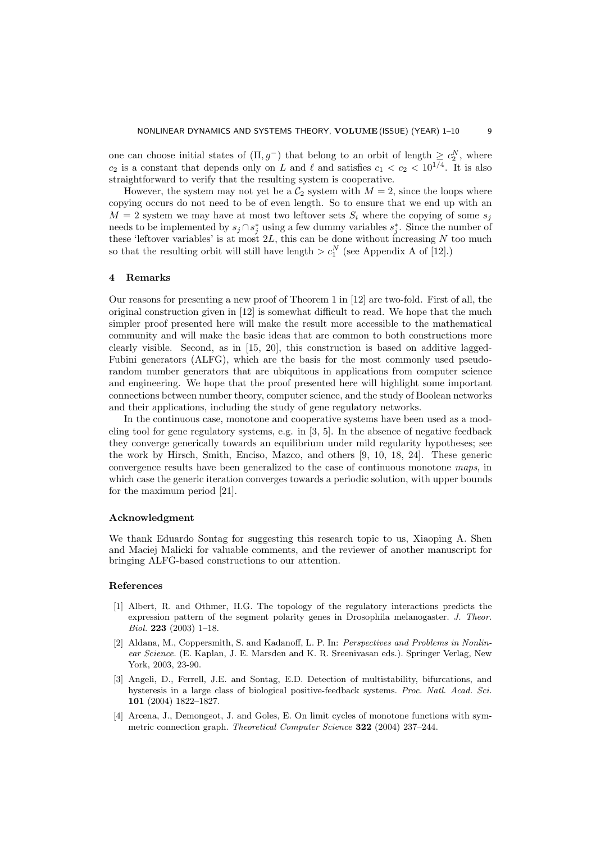one can choose initial states of  $(\Pi, g^-)$  that belong to an orbit of length  $\geq c_2^N$ , where *c*<sub>2</sub> is a constant that depends only on *L* and  $\ell$  and satisfies  $c_1 < c_2 < 10^{1/4}$ . It is also straightforward to verify that the resulting system is cooperative.

However, the system may not yet be a  $C_2$  system with  $M = 2$ , since the loops where copying occurs do not need to be of even length. So to ensure that we end up with an  $M = 2$  system we may have at most two leftover sets  $S_i$  where the copying of some  $s_i$ needs to be implemented by  $s_j \cap s_j^*$  using a few dummy variables  $s_j^*$ . Since the number of these 'leftover variables' is at most 2*L*, this can be done without increasing *N* too much so that the resulting orbit will still have length  $>c_1^N$  (see Appendix A of [12].)

# **4 Remarks**

Our reasons for presenting a new proof of Theorem 1 in [12] are two-fold. First of all, the original construction given in [12] is somewhat difficult to read. We hope that the much simpler proof presented here will make the result more accessible to the mathematical community and will make the basic ideas that are common to both constructions more clearly visible. Second, as in [15, 20], this construction is based on additive lagged-Fubini generators (ALFG), which are the basis for the most commonly used pseudorandom number generators that are ubiquitous in applications from computer science and engineering. We hope that the proof presented here will highlight some important connections between number theory, computer science, and the study of Boolean networks and their applications, including the study of gene regulatory networks.

In the continuous case, monotone and cooperative systems have been used as a modeling tool for gene regulatory systems, e.g. in [3, 5]. In the absence of negative feedback they converge generically towards an equilibrium under mild regularity hypotheses; see the work by Hirsch, Smith, Enciso, Mazco, and others [9, 10, 18, 24]. These generic convergence results have been generalized to the case of continuous monotone *maps*, in which case the generic iteration converges towards a periodic solution, with upper bounds for the maximum period [21].

## **Acknowledgment**

We thank Eduardo Sontag for suggesting this research topic to us, Xiaoping A. Shen and Maciej Malicki for valuable comments, and the reviewer of another manuscript for bringing ALFG-based constructions to our attention.

# **References**

- [1] Albert, R. and Othmer, H.G. The topology of the regulatory interactions predicts the expression pattern of the segment polarity genes in Drosophila melanogaster. *J. Theor. Biol.* **223** (2003) 1–18.
- [2] Aldana, M., Coppersmith, S. and Kadanoff, L. P. In: *Perspectives and Problems in Nonlinear Science.* (E. Kaplan, J. E. Marsden and K. R. Sreenivasan eds.). Springer Verlag, New York, 2003, 23-90.
- [3] Angeli, D., Ferrell, J.E. and Sontag, E.D. Detection of multistability, bifurcations, and hysteresis in a large class of biological positive-feedback systems. *Proc. Natl. Acad. Sci.* **101** (2004) 1822–1827.
- [4] Arcena, J., Demongeot, J. and Goles, E. On limit cycles of monotone functions with symmetric connection graph. *Theoretical Computer Science* **322** (2004) 237–244.